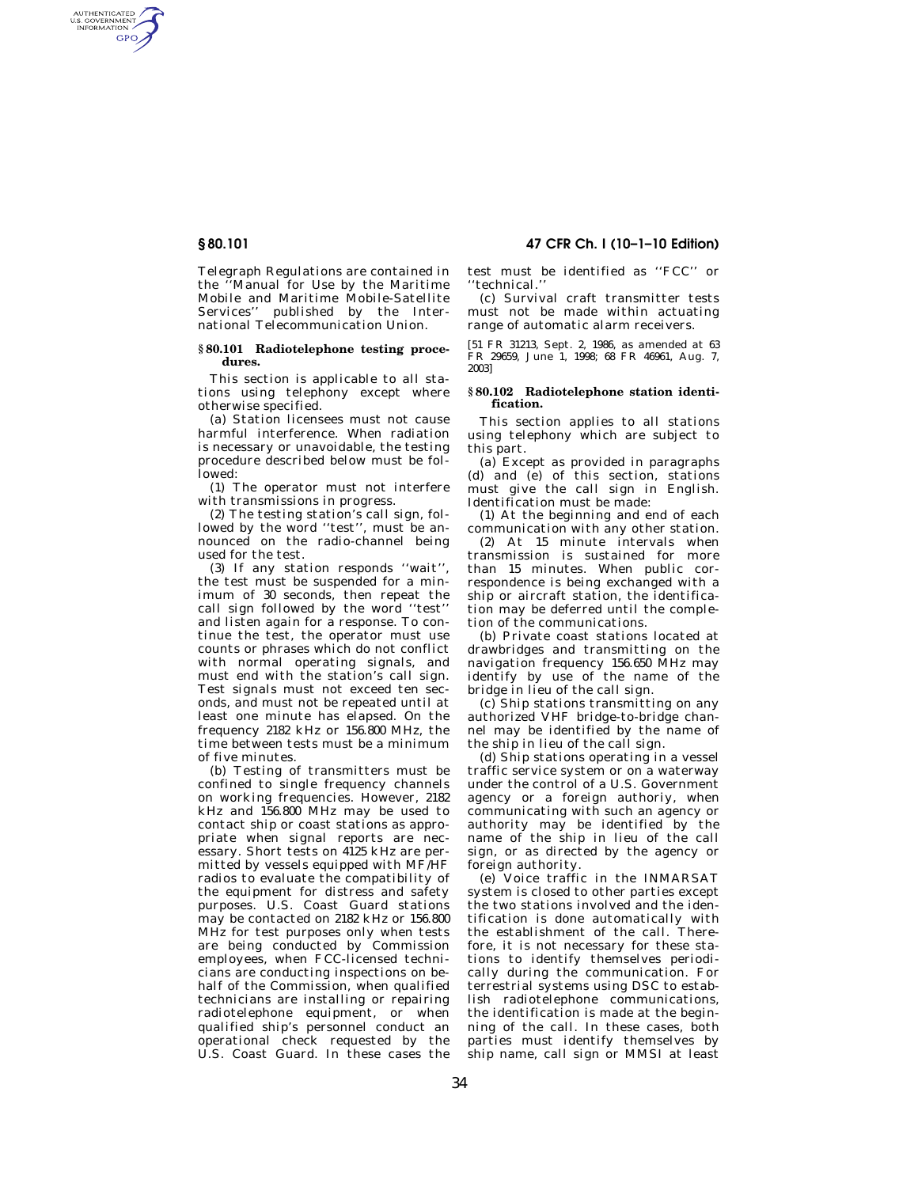# **§ 80.101 47 CFR Ch. I (10–1–10 Edition)**

AUTHENTICATED<br>U.S. GOVERNMENT<br>INFORMATION **GPO** 

> Telegraph Regulations are contained in the ''Manual for Use by the Maritime Mobile and Maritime Mobile-Satellite Services'' published by the International Telecommunication Union.

#### **§ 80.101 Radiotelephone testing procedures.**

This section is applicable to all stations using telephony except where otherwise specified.

(a) Station licensees must not cause harmful interference. When radiation is necessary or unavoidable, the testing procedure described below must be followed:

(1) The operator must not interfere with transmissions in progress.

(2) The testing station's call sign, followed by the word "test", must be announced on the radio-channel being used for the test.

(3) If any station responds ''wait'', the test must be suspended for a minimum of 30 seconds, then repeat the call sign followed by the word ''test'' and listen again for a response. To continue the test, the operator must use counts or phrases which do not conflict with normal operating signals, and must end with the station's call sign. Test signals must not exceed ten seconds, and must not be repeated until at least one minute has elapsed. On the frequency 2182 kHz or 156.800 MHz, the time between tests must be a minimum of five minutes.

(b) Testing of transmitters must be confined to single frequency channels on working frequencies. However, 2182 kHz and 156.800 MHz may be used to contact ship or coast stations as appropriate when signal reports are necessary. Short tests on 4125 kHz are permitted by vessels equipped with MF/HF radios to evaluate the compatibility of the equipment for distress and safety purposes. U.S. Coast Guard stations may be contacted on 2182 kHz or 156.800 MHz for test purposes only when tests are being conducted by Commission employees, when FCC-licensed technicians are conducting inspections on behalf of the Commission, when qualified technicians are installing or repairing radiotelephone equipment, or when qualified ship's personnel conduct an operational check requested by the U.S. Coast Guard. In these cases the

test must be identified as ''FCC'' or ''technical.''

(c) Survival craft transmitter tests must not be made within actuating range of automatic alarm receivers.

[51 FR 31213, Sept. 2, 1986, as amended at 63 FR 29659, June 1, 1998; 68 FR 46961, Aug. 7, 2003]

#### **§ 80.102 Radiotelephone station identification.**

This section applies to all stations using telephony which are subject to this part.

(a) Except as provided in paragraphs (d) and (e) of this section, stations must give the call sign in English. Identification must be made:

(1) At the beginning and end of each communication with any other station.

(2) At 15 minute intervals when transmission is sustained for more than 15 minutes. When public correspondence is being exchanged with a ship or aircraft station, the identification may be deferred until the completion of the communications.

(b) Private coast stations located at drawbridges and transmitting on the navigation frequency 156.650 MHz may identify by use of the name of the bridge in lieu of the call sign.

(c) Ship stations transmitting on any authorized VHF bridge-to-bridge channel may be identified by the name of the ship in lieu of the call sign.

(d) Ship stations operating in a vessel traffic service system or on a waterway under the control of a U.S. Government agency or a foreign authoriy, when communicating with such an agency or authority may be identified by the name of the ship in lieu of the call sign, or as directed by the agency or foreign authority.

(e) Voice traffic in the INMARSAT system is closed to other parties except the two stations involved and the identification is done automatically with the establishment of the call. Therefore, it is not necessary for these stations to identify themselves periodically during the communication. For terrestrial systems using DSC to establish radiotelephone communications, the identification is made at the beginning of the call. In these cases, both parties must identify themselves by ship name, call sign or MMSI at least